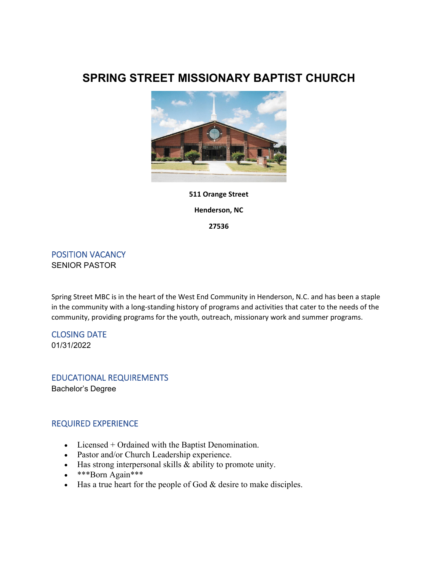# **SPRING STREET MISSIONARY BAPTIST CHURCH**



## **511 Orange Street Henderson, NC**

**27536**

POSITION VACANCY SENIOR PASTOR

Spring Street MBC is in the heart of the West End Community in Henderson, N.C. and has been a staple in the community with a long-standing history of programs and activities that cater to the needs of the community, providing programs for the youth, outreach, missionary work and summer programs.

CLOSING DATE 01/31/2022

EDUCATIONAL REQUIREMENTS Bachelor's Degree

## REQUIRED EXPERIENCE

- Licensed + Ordained with the Baptist Denomination.
- Pastor and/or Church Leadership experience.
- Has strong interpersonal skills & ability to promote unity.
- \*\*\*Born Again\*\*\*
- $\bullet$  Has a true heart for the people of God & desire to make disciples.